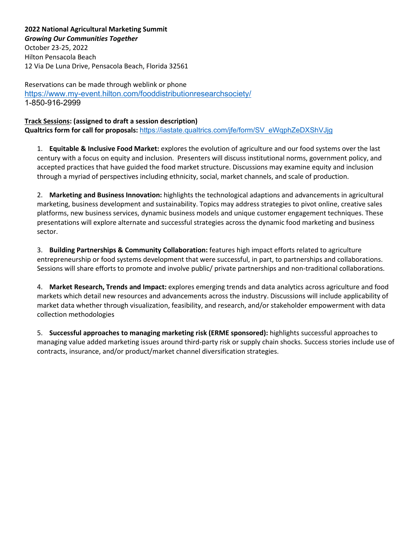**2022 National Agricultural Marketing Summit** *Growing Our Communities Together* October 23-25, 2022 Hilton Pensacola Beach 12 Via De Luna Drive, Pensacola Beach, Florida 32561

Reservations can be made through weblink or phone <https://www.my-event.hilton.com/fooddistributionresearchsociety/> 1-850-916-2999

**Track Sessions: (assigned to draft a session description) Qualtrics form for call for proposals:** [https://iastate.qualtrics.com/jfe/form/SV\\_eWqphZeDXShVJjg](https://iastate.qualtrics.com/jfe/form/SV_eWqphZeDXShVJjg)

1. **Equitable & Inclusive Food Market:** explores the evolution of agriculture and our food systems over the last century with a focus on equity and inclusion. Presenters will discuss institutional norms, government policy, and accepted practices that have guided the food market structure. Discussions may examine equity and inclusion through a myriad of perspectives including ethnicity, social, market channels, and scale of production.

2. **Marketing and Business Innovation:** highlights the technological adaptions and advancements in agricultural marketing, business development and sustainability. Topics may address strategies to pivot online, creative sales platforms, new business services, dynamic business models and unique customer engagement techniques. These presentations will explore alternate and successful strategies across the dynamic food marketing and business sector.

3. **Building Partnerships & Community Collaboration:** features high impact efforts related to agriculture entrepreneurship or food systems development that were successful, in part, to partnerships and collaborations. Sessions will share efforts to promote and involve public/ private partnerships and non-traditional collaborations.

4. **Market Research, Trends and Impact:** explores emerging trends and data analytics across agriculture and food markets which detail new resources and advancements across the industry. Discussions will include applicability of market data whether through visualization, feasibility, and research, and/or stakeholder empowerment with data collection methodologies

5. **Successful approaches to managing marketing risk (ERME sponsored):** highlights successful approaches to managing value added marketing issues around third-party risk or supply chain shocks. Success stories include use of contracts, insurance, and/or product/market channel diversification strategies.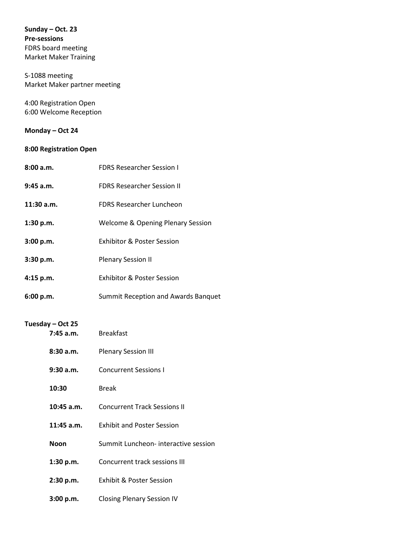**Sunday – Oct. 23 Pre-sessions**  FDRS board meeting Market Maker Training

S-1088 meeting Market Maker partner meeting

4:00 Registration Open 6:00 Welcome Reception

## **Monday – Oct 24**

## **8:00 Registration Open**

| 8:00a.m.                      | <b>FDRS Researcher Session I</b>             |
|-------------------------------|----------------------------------------------|
| $9:45$ a.m.                   | <b>FDRS Researcher Session II</b>            |
| 11:30 a.m.                    | <b>FDRS Researcher Luncheon</b>              |
| 1:30 p.m.                     | <b>Welcome &amp; Opening Plenary Session</b> |
| 3:00 p.m.                     | Exhibitor & Poster Session                   |
| 3:30 p.m.                     | <b>Plenary Session II</b>                    |
| 4:15 p.m.                     | Exhibitor & Poster Session                   |
| 6:00 p.m.                     | Summit Reception and Awards Banquet          |
| Tuesday - Oct 25<br>7:45 a.m. | <b>Breakfast</b>                             |
| 8:30a.m.                      | <b>Plenary Session III</b>                   |
| $9:30$ a.m.                   | <b>Concurrent Sessions I</b>                 |
| 10:30                         | <b>Break</b>                                 |
| $10:45$ a.m.                  | <b>Concurrent Track Sessions II</b>          |
| $11:45$ a.m.                  | <b>Exhibit and Poster Session</b>            |
| <b>Noon</b>                   | Summit Luncheon- interactive session         |
| 1:30 p.m.                     | <b>Concurrent track sessions III</b>         |
| 2:30 p.m.                     | Exhibit & Poster Session                     |
| 3:00 p.m.                     | <b>Closing Plenary Session IV</b>            |